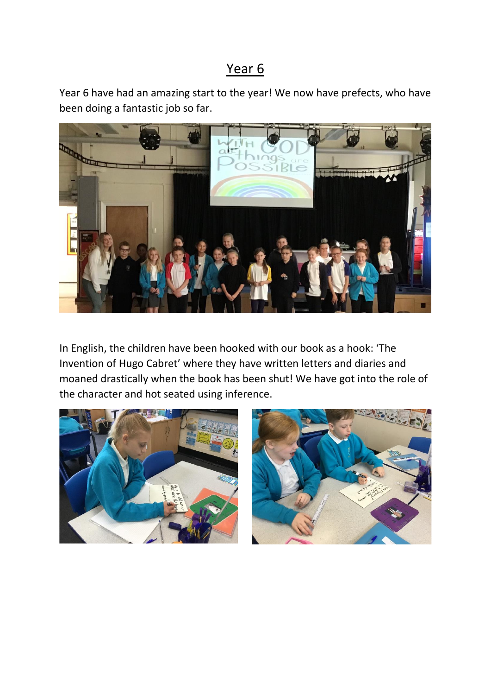## Year 6

Year 6 have had an amazing start to the year! We now have prefects, who have been doing a fantastic job so far.



In English, the children have been hooked with our book as a hook: 'The Invention of Hugo Cabret' where they have written letters and diaries and moaned drastically when the book has been shut! We have got into the role of the character and hot seated using inference.